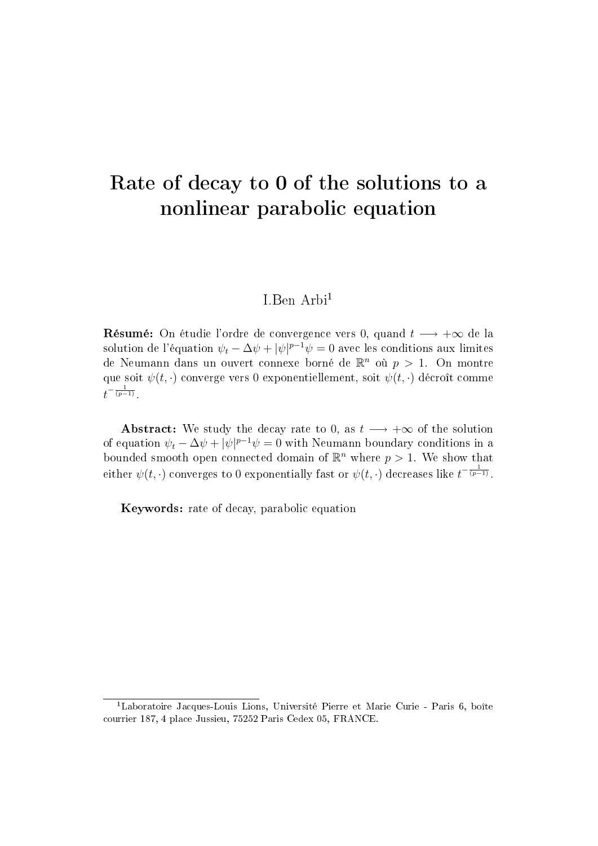# Rate of decay to 0 of the solutions to a nonlinear parabolic equation

#### I.Ben Arbi<sup>1</sup>

**Résumé:** On étudie l'ordre de convergence vers 0, quand  $t \rightarrow +\infty$  de la solution de l'équation  $\psi_t - \Delta \psi + |\psi|^{p-1}\psi = 0$  avec les conditions aux limites de Neumann dans un ouvert connexe borné de  $\mathbb{R}^n$  où  $p\,>\,1.$  On montre que soit  $\psi(t, \cdot)$  converge vers 0 exponentiellement, soit  $\psi(t, \cdot)$  décroît comme  $t^{-\frac{1}{(p-1)}}.$ 

Abstract: We study the decay rate to 0, as  $t \rightarrow +\infty$  of the solution of equation  $\psi_t - \Delta \psi + |\psi|^{p-1}\psi = 0$  with Neumann boundary conditions in a bounded smooth open connected domain of  $\mathbb{R}^n$  where  $p > 1$ . We show that either  $\psi(t,\cdot)$  converges to  $0$  exponentially fast or  $\psi(t,\cdot)$  decreases like  $t^{-\frac{1}{(p-1)}}.$ 

Keywords: rate of decay, parabolic equation

<sup>&</sup>lt;sup>1</sup>Laboratoire Jacques-Louis Lions, Université Pierre et Marie Curie - Paris 6, boîte courrier 187, 4 place Jussieu, 75252 Paris Cedex 05, FRANCE.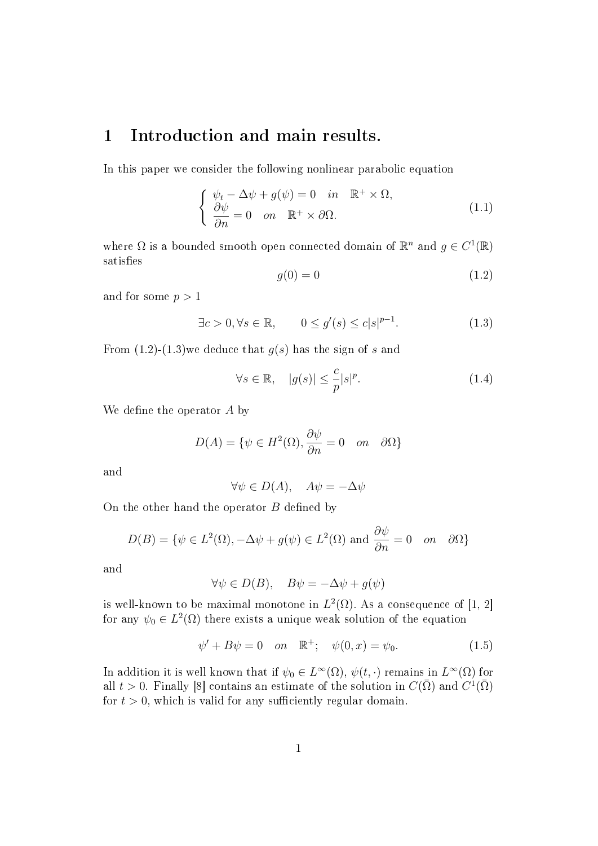#### 1 Introduction and main results.

In this paper we consider the following nonlinear parabolic equation

$$
\begin{cases}\n\psi_t - \Delta \psi + g(\psi) = 0 & \text{in } \mathbb{R}^+ \times \Omega, \\
\frac{\partial \psi}{\partial n} = 0 & \text{on } \mathbb{R}^+ \times \partial \Omega.\n\end{cases}
$$
\n(1.1)

where  $\Omega$  is a bounded smooth open connected domain of  $\mathbb{R}^n$  and  $g \in C^1(\mathbb{R})$ satisfies

$$
g(0) = 0 \tag{1.2}
$$

and for some  $p > 1$ 

$$
\exists c > 0, \forall s \in \mathbb{R}, \qquad 0 \le g'(s) \le c|s|^{p-1}.
$$
 (1.3)

From  $(1.2)-(1.3)$  we deduce that  $g(s)$  has the sign of s and

$$
\forall s \in \mathbb{R}, \quad |g(s)| \le \frac{c}{p} |s|^p. \tag{1.4}
$$

We define the operator  $A$  by

$$
D(A) = \{ \psi \in H^2(\Omega), \frac{\partial \psi}{\partial n} = 0 \quad on \quad \partial \Omega \}
$$

and

$$
\forall \psi \in D(A), \quad A\psi = -\Delta \psi
$$

On the other hand the operator  $B$  defined by

$$
D(B) = \{ \psi \in L^{2}(\Omega), -\Delta\psi + g(\psi) \in L^{2}(\Omega) \text{ and } \frac{\partial\psi}{\partial n} = 0 \text{ on } \partial\Omega \}
$$

and

$$
\forall \psi \in D(B), \quad B\psi = -\Delta \psi + g(\psi)
$$

is well-known to be maximal monotone in  $L^2(\Omega)$ . As a consequence of [1, 2] for any  $\psi_0 \in L^2(\Omega)$  there exists a unique weak solution of the equation

$$
\psi' + B\psi = 0
$$
 on  $\mathbb{R}^+$ ;  $\psi(0, x) = \psi_0$ . (1.5)

In addition it is well known that if  $\psi_0 \in L^{\infty}(\Omega)$ ,  $\psi(t, \cdot)$  remains in  $L^{\infty}(\Omega)$  for all  $t > 0$ . Finally [8] contains an estimate of the solution in  $C(\bar{\Omega})$  and  $C^1(\bar{\Omega})$ for  $t > 0$ , which is valid for any sufficiently regular domain.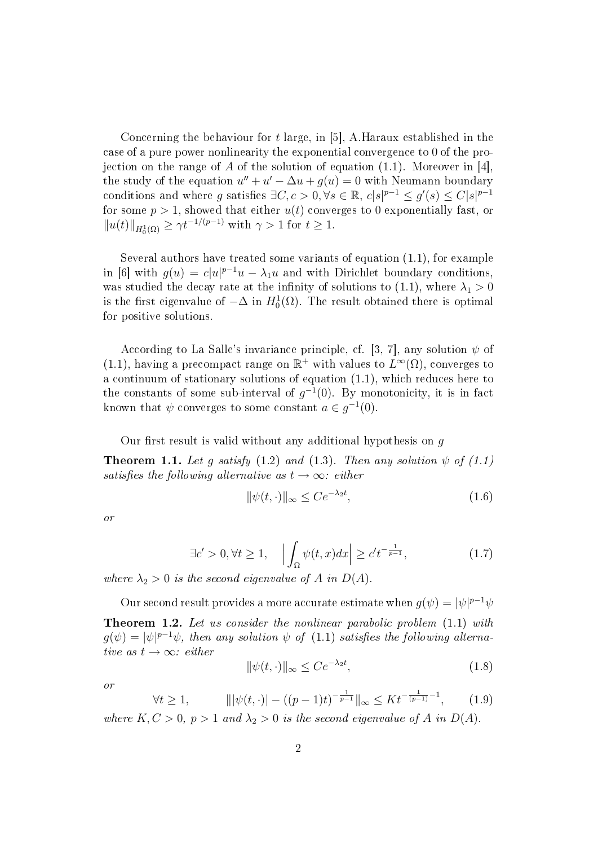Concerning the behaviour for t large, in [5], A.Haraux established in the case of a pure power nonlinearity the exponential convergence to 0 of the projection on the range of A of the solution of equation  $(1.1)$ . Moreover in [4], the study of the equation  $u'' + u' - \Delta u + g(u) = 0$  with Neumann boundary conditions and where g satisfies  $\exists C, c > 0, \forall s \in \mathbb{R}, c|s|^{p-1} \leq g'(s) \leq C|s|^{p-1}$ for some  $p > 1$ , showed that either  $u(t)$  converges to 0 exponentially fast, or  $||u(t)||_{H_0^1(\Omega)} \ge \gamma t^{-1/(p-1)}$  with  $\gamma > 1$  for  $t \ge 1$ .

Several authors have treated some variants of equation (1.1), for example in [6] with  $g(u) = c|u|^{p-1}u - \lambda_1u$  and with Dirichlet boundary conditions, was studied the decay rate at the infinity of solutions to (1.1), where  $\lambda_1 > 0$ is the first eigenvalue of  $-\Delta$  in  $H_0^1(\Omega)$ . The result obtained there is optimal for positive solutions.

According to La Salle's invariance principle, cf. [3, 7], any solution  $\psi$  of (1.1), having a precompact range on  $\mathbb{R}^+$  with values to  $L^{\infty}(\Omega)$ , converges to a continuum of stationary solutions of equation (1.1), which reduces here to the constants of some sub-interval of  $g^{-1}(0)$ . By monotonicity, it is in fact known that  $\psi$  converges to some constant  $a \in g^{-1}(0)$ .

Our first result is valid without any additional hypothesis on  $g$ 

**Theorem 1.1.** Let q satisfy (1.2) and (1.3). Then any solution  $\psi$  of (1.1) satisfies the following alternative as  $t \to \infty$ : either

$$
\|\psi(t,\cdot)\|_{\infty} \le Ce^{-\lambda_2 t},\tag{1.6}
$$

or

$$
\exists c' > 0, \forall t \ge 1, \quad \left| \int_{\Omega} \psi(t, x) dx \right| \ge c' t^{-\frac{1}{p-1}}, \tag{1.7}
$$

where  $\lambda_2 > 0$  is the second eigenvalue of A in  $D(A)$ .

Our second result provides a more accurate estimate when  $g(\psi) = |\psi|^{p-1}\psi$ Theorem 1.2. Let us consider the nonlinear parabolic problem (1.1) with  $g(\psi) = |\psi|^{p-1}\psi$ , then any solution  $\psi$  of (1.1) satisfies the following alternative as  $t \rightarrow \infty$ : either

$$
\|\psi(t,\cdot)\|_{\infty} \le Ce^{-\lambda_2 t},\tag{1.8}
$$

or

$$
\forall t \ge 1, \qquad \|\|\psi(t, \cdot)\| - ((p-1)t)^{-\frac{1}{p-1}}\|_{\infty} \le K t^{-\frac{1}{(p-1)}-1}, \qquad (1.9)
$$

where  $K, C > 0, p > 1$  and  $\lambda_2 > 0$  is the second eigenvalue of A in  $D(A)$ .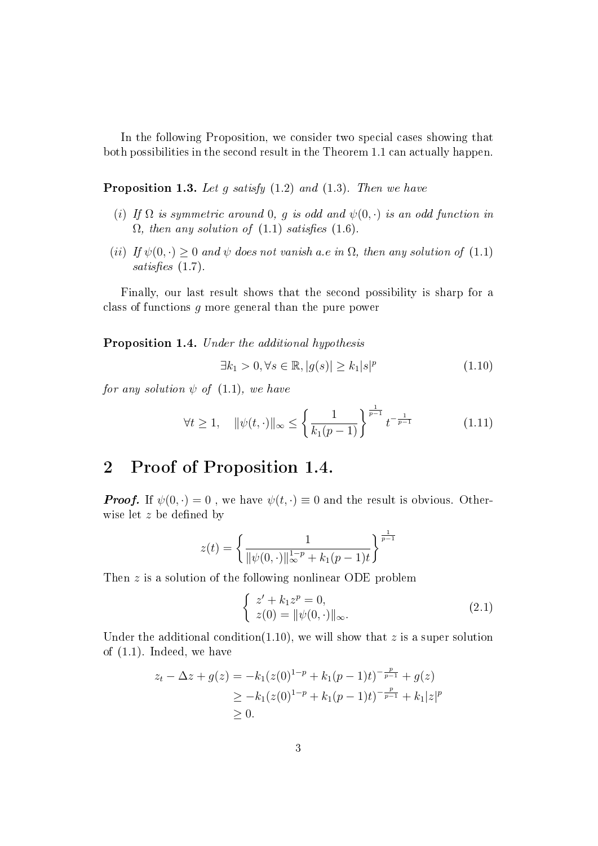In the following Proposition, we consider two special cases showing that both possibilities in the second result in the Theorem 1.1 can actually happen.

**Proposition 1.3.** Let g satisfy  $(1.2)$  and  $(1.3)$ . Then we have

- (i) If  $\Omega$  is symmetric around 0, q is odd and  $\psi(0, \cdot)$  is an odd function in  $\Omega$ , then any solution of (1.1) satisfies (1.6).
- (ii) If  $\psi(0, \cdot) \geq 0$  and  $\psi$  does not vanish a.e in  $\Omega$ , then any solution of (1.1) satisfies  $(1.7)$ .

Finally, our last result shows that the second possibility is sharp for a class of functions g more general than the pure power

Proposition 1.4. Under the additional hypothesis

$$
\exists k_1 > 0, \forall s \in \mathbb{R}, |g(s)| \ge k_1 |s|^p \tag{1.10}
$$

for any solution  $\psi$  of (1.1), we have

$$
\forall t \ge 1, \quad \|\psi(t, \cdot)\|_{\infty} \le \left\{\frac{1}{k_1(p-1)}\right\}^{\frac{1}{p-1}} t^{-\frac{1}{p-1}} \tag{1.11}
$$

#### 2 Proof of Proposition 1.4.

**Proof.** If  $\psi(0, \cdot) = 0$ , we have  $\psi(t, \cdot) \equiv 0$  and the result is obvious. Otherwise let  $z$  be defined by

$$
z(t) = \left\{ \frac{1}{\|\psi(0, \cdot)\|_{\infty}^{1-p} + k_1(p-1)t} \right\}^{\frac{1}{p-1}}
$$

Then z is a solution of the following nonlinear ODE problem

$$
\begin{cases}\n z' + k_1 z^p = 0, \\
 z(0) = ||\psi(0, \cdot)||_{\infty}.\n\end{cases} (2.1)
$$

Under the additional condition(1.10), we will show that z is a super solution of (1.1). Indeed, we have

$$
z_t - \Delta z + g(z) = -k_1(z(0)^{1-p} + k_1(p-1)t)^{-\frac{p}{p-1}} + g(z)
$$
  
\n
$$
\geq -k_1(z(0)^{1-p} + k_1(p-1)t)^{-\frac{p}{p-1}} + k_1|z|^p
$$
  
\n
$$
\geq 0.
$$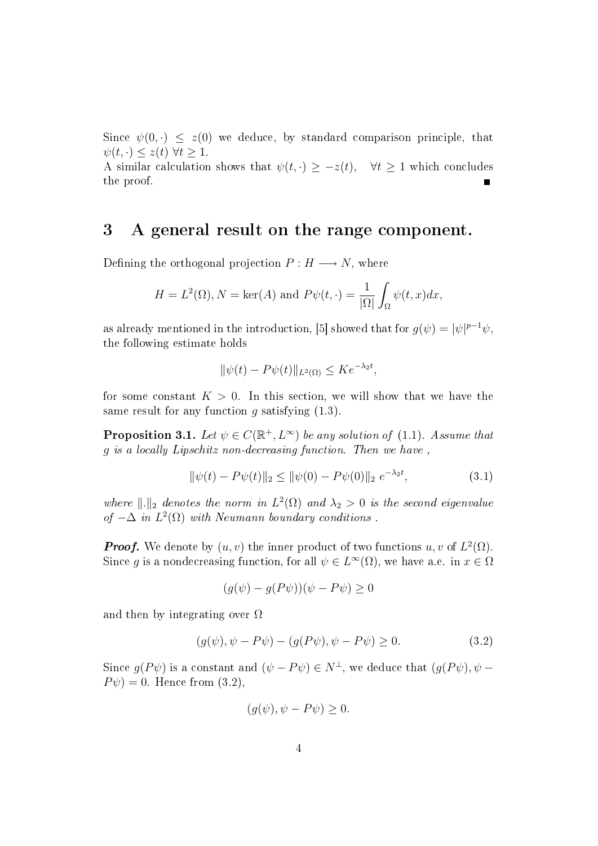Since  $\psi(0, \cdot) \leq z(0)$  we deduce, by standard comparison principle, that  $\psi(t, \cdot) \leq z(t) \ \forall t \geq 1.$ 

A similar calculation shows that  $\psi(t, \cdot) \geq -z(t)$ ,  $\forall t \geq 1$  which concludes the proof.

#### 3 A general result on the range component.

Defining the orthogonal projection  $P : H \longrightarrow N$ , where

$$
H = L^{2}(\Omega), N = \ker(A) \text{ and } P\psi(t, \cdot) = \frac{1}{|\Omega|} \int_{\Omega} \psi(t, x) dx,
$$

as already mentioned in the introduction, [5] showed that for  $g(\psi) = |\psi|^{p-1}\psi$ , the following estimate holds

$$
\|\psi(t) - P\psi(t)\|_{L^2(\Omega)} \le K e^{-\lambda_2 t},
$$

for some constant  $K > 0$ . In this section, we will show that we have the same result for any function  $g$  satisfying  $(1.3)$ .

**Proposition 3.1.** Let  $\psi \in C(\mathbb{R}^+, L^{\infty})$  be any solution of (1.1). Assume that g is a locally Lipschitz non-decreasing function. Then we have ,

$$
\|\psi(t) - P\psi(t)\|_2 \le \|\psi(0) - P\psi(0)\|_2 \ e^{-\lambda_2 t},\tag{3.1}
$$

where  $\|.\|_2$  denotes the norm in  $L^2(\Omega)$  and  $\lambda_2 > 0$  is the second eigenvalue of  $-\Delta$  in  $L^2(\Omega)$  with Neumann boundary conditions.

**Proof.** We denote by  $(u, v)$  the inner product of two functions  $u, v$  of  $L^2(\Omega)$ . Since g is a nondecreasing function, for all  $\psi \in L^{\infty}(\Omega)$ , we have a.e. in  $x \in \Omega$ 

$$
(g(\psi) - g(P\psi))(\psi - P\psi) \ge 0
$$

and then by integrating over  $\Omega$ 

$$
(g(\psi), \psi - P\psi) - (g(P\psi), \psi - P\psi) \ge 0.
$$
\n(3.2)

Since  $g(P\psi)$  is a constant and  $(\psi - P\psi) \in N^{\perp}$ , we deduce that  $(g(P\psi), \psi P\psi$ ) = 0. Hence from (3.2),

$$
(g(\psi), \psi - P\psi) \ge 0.
$$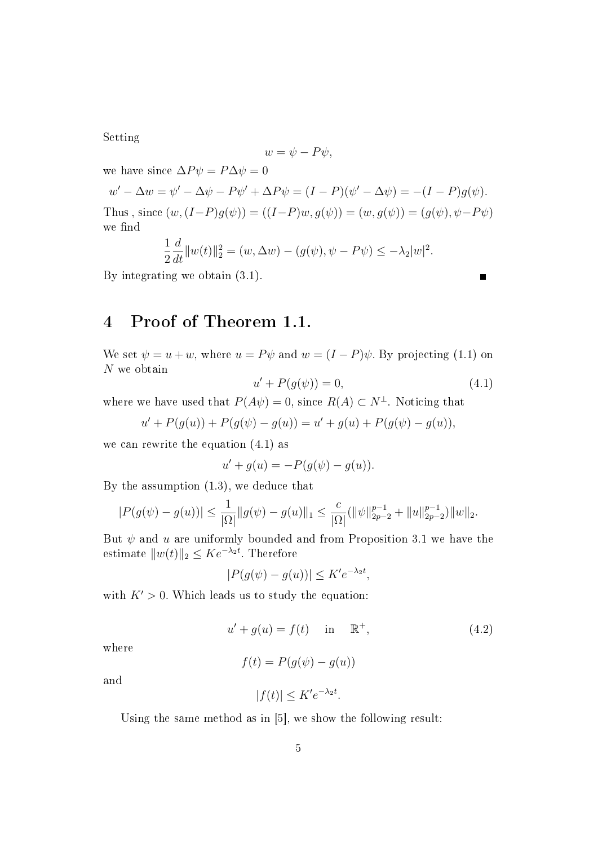Setting

$$
w=\psi-P\psi,
$$

we have since  $\Delta P \psi = P \Delta \psi = 0$  $w' - \Delta w = \psi' - \Delta \psi - P\psi' + \Delta P\psi = (I - P)(\psi' - \Delta \psi) = -(I - P)g(\psi).$ Thus , since  $(w,(I-P)g(\psi)) = ((I-P)w, g(\psi)) = (w, g(\psi)) = (g(\psi), \psi - P\psi)$ we find

$$
\frac{1}{2}\frac{d}{dt}||w(t)||_2^2 = (w, \Delta w) - (g(\psi), \psi - P\psi) \le -\lambda_2|w|^2.
$$

By integrating we obtain (3.1).

## 4 Proof of Theorem 1.1.

We set  $\psi = u + w$ , where  $u = P\psi$  and  $w = (I - P)\psi$ . By projecting (1.1) on N we obtain

$$
u' + P(g(\psi)) = 0,\t\t(4.1)
$$

where we have used that  $P(A\psi) = 0$ , since  $R(A) \subset N^{\perp}$ . Noticing that

$$
u' + P(g(u)) + P(g(\psi) - g(u)) = u' + g(u) + P(g(\psi) - g(u)),
$$

we can rewrite the equation (4.1) as

$$
u' + g(u) = -P(g(\psi) - g(u)).
$$

By the assumption (1.3), we deduce that

$$
|P(g(\psi) - g(u))| \le \frac{1}{|\Omega|} ||g(\psi) - g(u)||_1 \le \frac{c}{|\Omega|} (||\psi||_{2p-2}^{p-1} + ||u||_{2p-2}^{p-1}) ||w||_2.
$$

But  $\psi$  and u are uniformly bounded and from Proposition 3.1 we have the estimate  $||w(t)||_2 \leq Ke^{-\lambda_2 t}$ . Therefore

$$
|P(g(\psi) - g(u))| \le K'e^{-\lambda_2 t},
$$

with  $K' > 0$ . Which leads us to study the equation:

$$
u' + g(u) = f(t) \quad \text{in} \quad \mathbb{R}^+, \tag{4.2}
$$

where

$$
f(t) = P(g(\psi) - g(u))
$$

and

$$
|f(t)| \le K'e^{-\lambda_2 t}.
$$

Using the same method as in [5], we show the following result: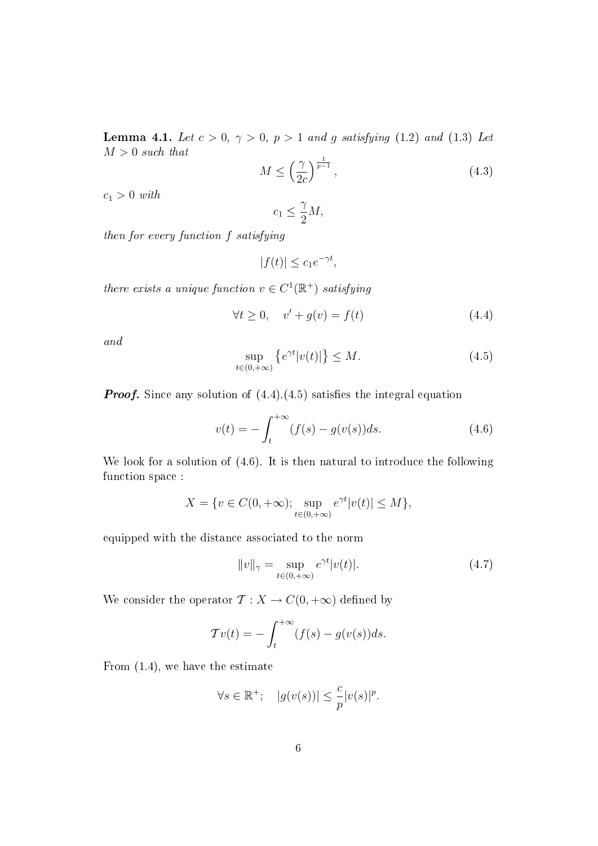**Lemma 4.1.** Let  $c > 0$ ,  $\gamma > 0$ ,  $p > 1$  and g satisfying (1.2) and (1.3) Let  $M > 0$  such that

$$
M \le \left(\frac{\gamma}{2c}\right)^{\frac{1}{p-1}},\tag{4.3}
$$

 $c_1 > 0$  with

$$
c_1 \le \frac{\gamma}{2}M,
$$

then for every function f satisfying

 $|f(t)| \leq c_1 e^{-\gamma t},$ 

there exists a unique function  $v \in C^1(\mathbb{R}^+)$  satisfying

$$
\forall t \ge 0, \quad v' + g(v) = f(t) \tag{4.4}
$$

and

$$
\sup_{t \in (0, +\infty)} \left\{ e^{\gamma t} |v(t)| \right\} \le M. \tag{4.5}
$$

**Proof.** Since any solution of  $(4.4)(4.5)$  satisfies the integral equation

$$
v(t) = -\int_{t}^{+\infty} (f(s) - g(v(s))ds.
$$
 (4.6)

We look for a solution of (4.6). It is then natural to introduce the following function space :

$$
X = \{ v \in C(0, +\infty) ; \sup_{t \in (0, +\infty)} e^{\gamma t} |v(t)| \le M \},\
$$

equipped with the distance associated to the norm

$$
||v||_{\gamma} = \sup_{t \in (0, +\infty)} e^{\gamma t} |v(t)|. \tag{4.7}
$$

We consider the operator  $\mathcal{T}: X \to C(0, +\infty)$  defined by

$$
\mathcal{T}v(t) = -\int_{t}^{+\infty} (f(s) - g(v(s))ds).
$$

From (1.4), we have the estimate

$$
\forall s \in \mathbb{R}^+; \quad |g(v(s))| \leq \frac{c}{p} |v(s)|^p.
$$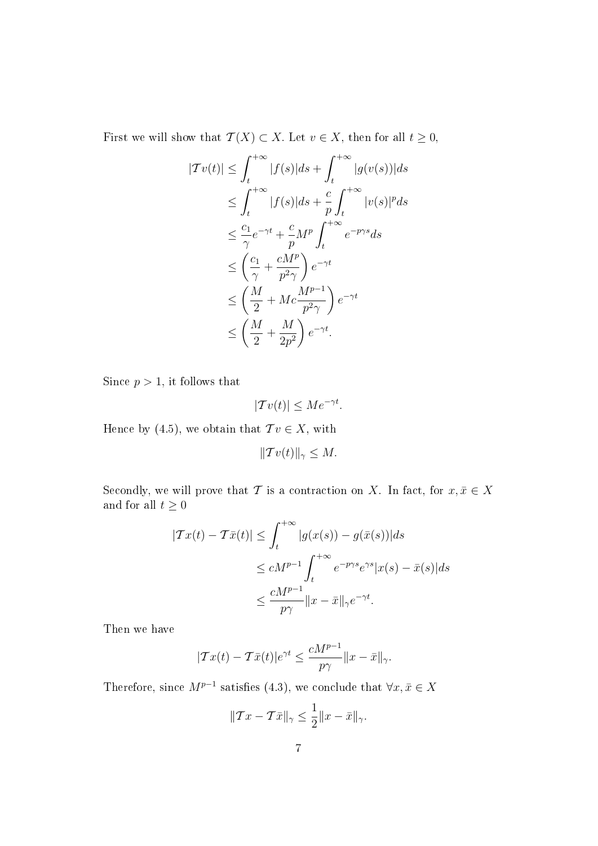First we will show that  $\mathcal{T}(X) \subset X$ . Let  $v \in X$ , then for all  $t \geq 0$ ,

$$
|Tv(t)| \leq \int_{t}^{+\infty} |f(s)|ds + \int_{t}^{+\infty} |g(v(s))|ds
$$
  
\n
$$
\leq \int_{t}^{+\infty} |f(s)|ds + \frac{c}{p} \int_{t}^{+\infty} |v(s)|^p ds
$$
  
\n
$$
\leq \frac{c_1}{\gamma} e^{-\gamma t} + \frac{c}{p} M^p \int_{t}^{+\infty} e^{-p\gamma s} ds
$$
  
\n
$$
\leq \left(\frac{c_1}{\gamma} + \frac{cM^p}{p^2\gamma}\right) e^{-\gamma t}
$$
  
\n
$$
\leq \left(\frac{M}{2} + Mc\frac{M^{p-1}}{p^2\gamma}\right) e^{-\gamma t}
$$
  
\n
$$
\leq \left(\frac{M}{2} + \frac{M}{2p^2}\right) e^{-\gamma t}.
$$

Since  $p > 1$ , it follows that

$$
|\mathcal{T}v(t)| \le Me^{-\gamma t}.
$$

Hence by (4.5), we obtain that  $Tv \in X$ , with

 $||\mathcal{T} v(t)||_{\gamma} \leq M.$ 

Secondly, we will prove that T is a contraction on X. In fact, for  $x, \bar{x} \in X$ and for all  $t\geq 0$ 

$$
|Tx(t) - T\bar{x}(t)| \leq \int_{t}^{+\infty} |g(x(s)) - g(\bar{x}(s))|ds
$$
  

$$
\leq cM^{p-1} \int_{t}^{+\infty} e^{-p\gamma s} e^{\gamma s} |x(s) - \bar{x}(s)|ds
$$
  

$$
\leq \frac{cM^{p-1}}{p\gamma} \|x - \bar{x}\|_{\gamma} e^{-\gamma t}.
$$

Then we have

$$
|\mathcal{T}x(t) - \mathcal{T}\bar{x}(t)|e^{\gamma t} \le \frac{cM^{p-1}}{p\gamma}||x - \bar{x}||_{\gamma}.
$$

Therefore, since  $M^{p-1}$  satisfies (4.3), we conclude that  $\forall x, \bar{x} \in X$ 

$$
||Tx - \mathcal{T}\bar{x}||_{\gamma} \le \frac{1}{2}||x - \bar{x}||_{\gamma}.
$$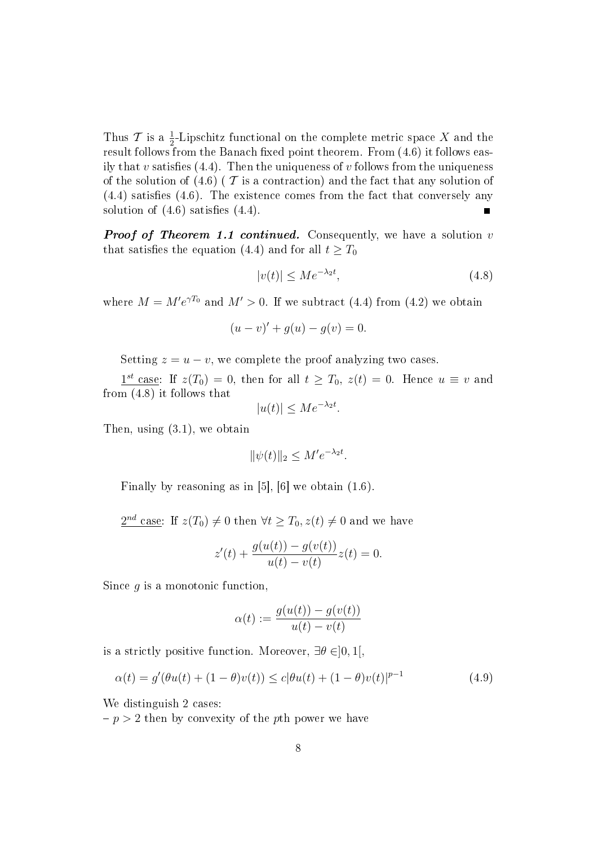Thus  $\mathcal T$  is a  $\frac{1}{2}$ -Lipschitz functional on the complete metric space X and the result follows from the Banach fixed point theorem. From  $(4.6)$  it follows easily that v satisfies  $(4.4)$ . Then the uniqueness of v follows from the uniqueness of the solution of  $(4.6)$  ( $\mathcal T$  is a contraction) and the fact that any solution of  $(4.4)$  satisfies  $(4.6)$ . The existence comes from the fact that conversely any solution of  $(4.6)$  satisfies  $(4.4)$ .

**Proof of Theorem 1.1 continued.** Consequently, we have a solution  $v$ that satisfies the equation (4.4) and for all  $t \geq T_0$ 

$$
|v(t)| \le Me^{-\lambda_2 t},\tag{4.8}
$$

where  $M = M'e^{\gamma T_0}$  and  $M' > 0$ . If we subtract (4.4) from (4.2) we obtain

$$
(u - v)' + g(u) - g(v) = 0.
$$

Setting  $z = u - v$ , we complete the proof analyzing two cases.

 $1^{st}$  case: If  $z(T_0) = 0$ , then for all  $t \geq T_0$ ,  $z(t) = 0$ . Hence  $u \equiv v$  and from (4.8) it follows that

$$
|u(t)| \le Me^{-\lambda_2 t}.
$$

Then, using (3.1), we obtain

$$
\|\psi(t)\|_2 \le M'e^{-\lambda_2 t}.
$$

Finally by reasoning as in  $[5]$ ,  $[6]$  we obtain  $(1.6)$ .

 $\frac{2^{nd} \text{ case: If } z(T_0) \neq 0 \text{ then } \forall t \geq T_0, z(t) \neq 0 \text{ and we have}}{t}$ 

$$
z'(t) + \frac{g(u(t)) - g(v(t))}{u(t) - v(t)}z(t) = 0.
$$

Since  $q$  is a monotonic function.

$$
\alpha(t) := \frac{g(u(t)) - g(v(t))}{u(t) - v(t)}
$$

is a strictly positive function. Moreover,  $\exists \theta \in ]0,1[,$ 

$$
\alpha(t) = g'(\theta u(t) + (1 - \theta)v(t)) \le c|\theta u(t) + (1 - \theta)v(t)|^{p-1}
$$
\n(4.9)

We distinguish 2 cases:

 $p > 2$  then by convexity of the pth power we have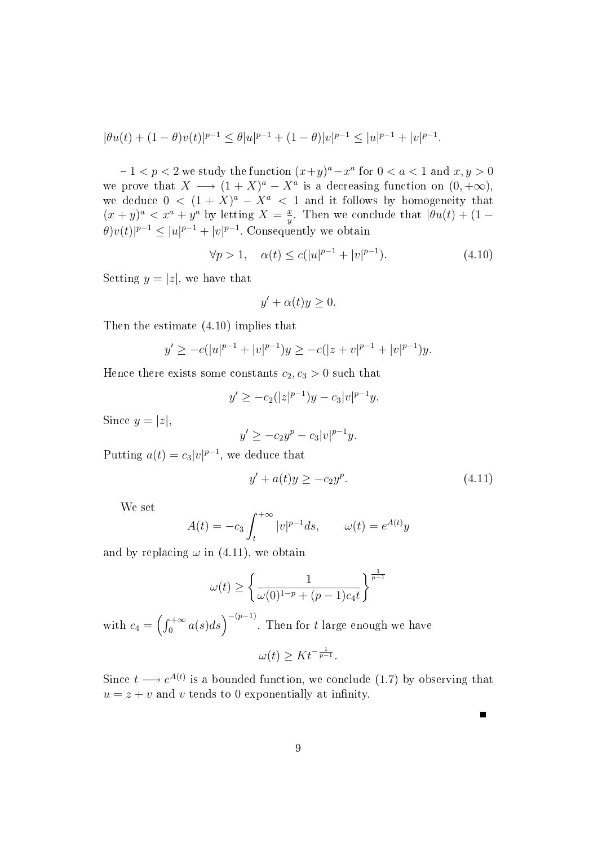$$
|\theta u(t) + (1-\theta)v(t)|^{p-1} \leq \theta |u|^{p-1} + (1-\theta)|v|^{p-1} \leq |u|^{p-1} + |v|^{p-1}.
$$

 $-1 < p < 2$  we study the function  $(x+y)^a - x^a$  for  $0 < a < 1$  and  $x, y > 0$ we prove that  $X \longrightarrow (1+X)^a - X^a$  is a decreasing function on  $(0, +\infty)$ , we deduce  $0 < (1 + X)^a - X^a < 1$  and it follows by homogeneity that  $(x+y)^a < x^a + y^a$  by letting  $X = \frac{x}{y}$  $\frac{x}{y}$ . Then we conclude that  $|\theta u(t) + (1 \theta)v(t)|^{p-1} \leq |u|^{p-1} + |v|^{p-1}$ . Consequently we obtain

$$
\forall p > 1, \quad \alpha(t) \le c(|u|^{p-1} + |v|^{p-1}). \tag{4.10}
$$

Setting  $y = |z|$ , we have that

$$
y' + \alpha(t)y \ge 0.
$$

Then the estimate (4.10) implies that

$$
y' \ge -c(|u|^{p-1} + |v|^{p-1})y \ge -c(|z + v|^{p-1} + |v|^{p-1})y.
$$

Hence there exists some constants  $c_2, c_3 > 0$  such that

$$
y' \ge -c_2(|z|^{p-1})y - c_3|v|^{p-1}y.
$$

Since  $y = |z|$ ,

$$
y' \ge -c_2 y^p - c_3 |v|^{p-1} y.
$$

Putting  $a(t) = c_3|v|^{p-1}$ , we deduce that

$$
y' + a(t)y \ge -c_2 y^p. \tag{4.11}
$$

 $\blacksquare$ 

We set

$$
A(t) = -c_3 \int_t^{+\infty} |v|^{p-1} ds, \qquad \omega(t) = e^{A(t)} y
$$

and by replacing  $\omega$  in (4.11), we obtain

$$
\omega(t) \ge \left\{ \frac{1}{\omega(0)^{1-p} + (p-1)c_4 t} \right\}^{\frac{1}{p-1}}
$$

with  $c_4 = \left(\int_0^{+\infty} a(s) ds\right)^{-(p-1)}$ . Then for  $t$  large enough we have

$$
\omega(t) \geq K t^{-\frac{1}{p-1}}.
$$

Since  $t \longrightarrow e^{A(t)}$  is a bounded function, we conclude (1.7) by observing that  $u = z + v$  and v tends to 0 exponentially at infinity.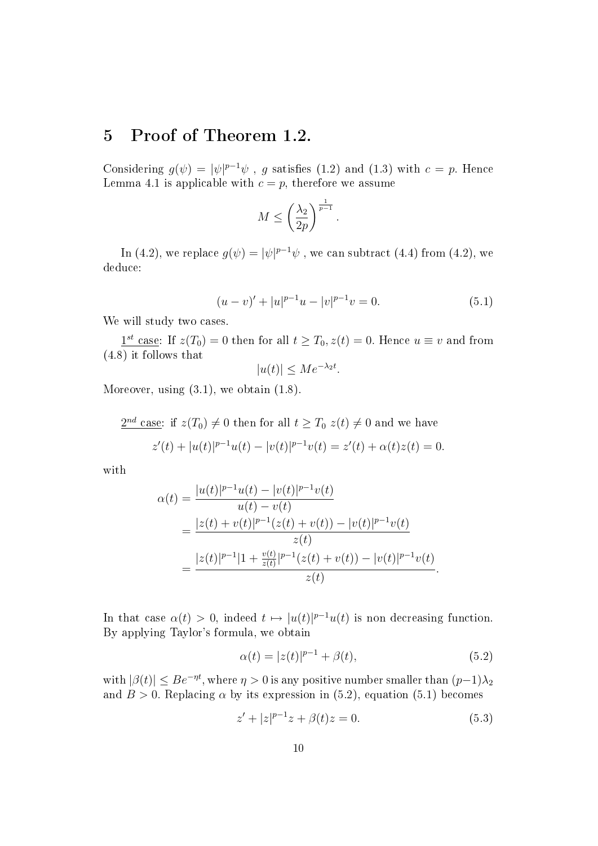### 5 Proof of Theorem 1.2.

Considering  $g(\psi) = |\psi|^{p-1}\psi$ , g satisfies (1.2) and (1.3) with  $c = p$ . Hence Lemma 4.1 is applicable with  $c = p$ , therefore we assume

$$
M \le \left(\frac{\lambda_2}{2p}\right)^{\frac{1}{p-1}}.
$$

In (4.2), we replace  $g(\psi) = |\psi|^{p-1}\psi$  , we can subtract (4.4) from (4.2), we deduce:

$$
(u-v)' + |u|^{p-1}u - |v|^{p-1}v = 0.
$$
\n(5.1)

We will study two cases.

 $1^{st}$  case: If  $z(T_0) = 0$  then for all  $t \geq T_0, z(t) = 0$ . Hence  $u \equiv v$  and from (4.8) it follows that

$$
|u(t)| \le Me^{-\lambda_2 t}.
$$

Moreover, using  $(3.1)$ , we obtain  $(1.8)$ .

$$
\frac{2^{nd} \csc}{t} \text{ case: if } z(T_0) \neq 0 \text{ then for all } t \geq T_0 \ z(t) \neq 0 \text{ and we have}
$$
\n
$$
z'(t) + |u(t)|^{p-1}u(t) - |v(t)|^{p-1}v(t) = z'(t) + \alpha(t)z(t) = 0.
$$

with

$$
\alpha(t) = \frac{|u(t)|^{p-1}u(t) - |v(t)|^{p-1}v(t)}{u(t) - v(t)} \n= \frac{|z(t) + v(t)|^{p-1}(z(t) + v(t)) - |v(t)|^{p-1}v(t)}{z(t)} \n= \frac{|z(t)|^{p-1}|1 + \frac{v(t)}{z(t)}|^{p-1}(z(t) + v(t)) - |v(t)|^{p-1}v(t)}{z(t)}.
$$

In that case  $\alpha(t) > 0$ , indeed  $t \mapsto |u(t)|^{p-1}u(t)$  is non decreasing function. By applying Taylor's formula, we obtain

$$
\alpha(t) = |z(t)|^{p-1} + \beta(t),
$$
\n(5.2)

with  $|\beta(t)| \le Be^{-\eta t}$ , where  $\eta > 0$  is any positive number smaller than  $(p-1)\lambda_2$ and  $B > 0$ . Replacing  $\alpha$  by its expression in (5.2), equation (5.1) becomes

$$
z' + |z|^{p-1}z + \beta(t)z = 0.
$$
\n(5.3)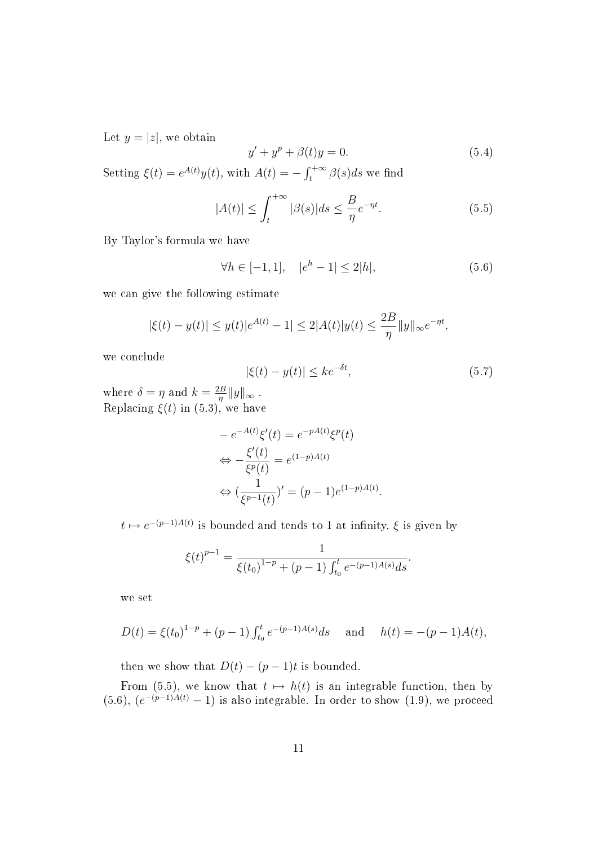Let  $y = |z|$ , we obtain

$$
y' + y^p + \beta(t)y = 0.
$$
 (5.4)

Setting  $\xi(t) = e^{A(t)}y(t)$ , with  $A(t) = -\int_{t}^{+\infty} \beta(s)ds$  we find

$$
|A(t)| \le \int_{t}^{+\infty} |\beta(s)| ds \le \frac{B}{\eta} e^{-\eta t}.
$$
 (5.5)

By Taylor's formula we have

$$
\forall h \in [-1, 1], \quad |e^h - 1| \le 2|h|,\tag{5.6}
$$

we can give the following estimate

$$
|\xi(t) - y(t)| \leq y(t)|e^{A(t)} - 1| \leq 2|A(t)|y(t) \leq \frac{2B}{\eta}||y||_{\infty}e^{-\eta t},
$$

we conclude

$$
|\xi(t) - y(t)| \le k e^{-\delta t},\tag{5.7}
$$

where  $\delta = \eta$  and  $k = \frac{2B}{n}$  $\frac{d}{d\eta} \|y\|_{\infty}$ . Replacing  $\xi(t)$  in (5.3), we have

$$
-e^{-A(t)}\xi'(t) = e^{-pA(t)}\xi^p(t)
$$

$$
\Leftrightarrow -\frac{\xi'(t)}{\xi^p(t)} = e^{(1-p)A(t)}
$$

$$
\Leftrightarrow (\frac{1}{\xi^{p-1}(t)})' = (p-1)e^{(1-p)A(t)}.
$$

 $t \mapsto e^{-(p-1)A(t)}$  is bounded and tends to 1 at infinity,  $\xi$  is given by

$$
\xi(t)^{p-1} = \frac{1}{\xi(t_0)^{1-p} + (p-1) \int_{t_0}^t e^{-(p-1)A(s)} ds}.
$$

we set

$$
D(t) = \xi(t_0)^{1-p} + (p-1) \int_{t_0}^t e^{-(p-1)A(s)} ds \quad \text{and} \quad h(t) = -(p-1)A(t),
$$

then we show that  $D(t) - (p-1)t$  is bounded.

From (5.5), we know that  $t \mapsto h(t)$  is an integrable function, then by  $(5.6), (e^{-(p-1)A(t)}-1)$  is also integrable. In order to show  $(1.9)$ , we proceed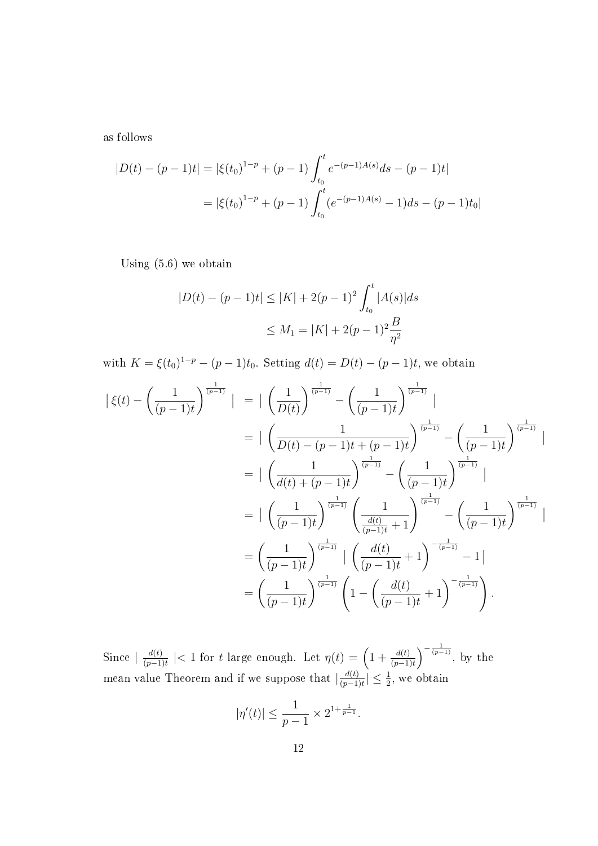as follows

$$
|D(t) - (p-1)t| = |\xi(t_0)^{1-p} + (p-1) \int_{t_0}^t e^{-(p-1)A(s)} ds - (p-1)t|
$$
  
=  $|\xi(t_0)^{1-p} + (p-1) \int_{t_0}^t (e^{-(p-1)A(s)} - 1) ds - (p-1)t_0|$ 

Using (5.6) we obtain

$$
|D(t) - (p-1)t| \le |K| + 2(p-1)^2 \int_{t_0}^t |A(s)| ds
$$
  

$$
\le M_1 = |K| + 2(p-1)^2 \frac{B}{\eta^2}
$$

with  $K = \xi(t_0)^{1-p} - (p-1)t_0$ . Setting  $d(t) = D(t) - (p-1)t$ , we obtain

$$
\begin{split}\n\left| \xi(t) - \left( \frac{1}{(p-1)t} \right)^{\frac{1}{(p-1)}} \right| &= \left| \left( \frac{1}{D(t)} \right)^{\frac{1}{(p-1)}} - \left( \frac{1}{(p-1)t} \right)^{\frac{1}{(p-1)}} \right| \\
&= \left| \left( \frac{1}{D(t) - (p-1)t + (p-1)t} \right)^{\frac{1}{(p-1)}} - \left( \frac{1}{(p-1)t} \right)^{\frac{1}{(p-1)}} \right| \\
&= \left| \left( \frac{1}{d(t) + (p-1)t} \right)^{\frac{1}{(p-1)}} - \left( \frac{1}{(p-1)t} \right)^{\frac{1}{(p-1)}} \right| \\
&= \left| \left( \frac{1}{(p-1)t} \right)^{\frac{1}{(p-1)}} \left( \frac{1}{\frac{d(t)}{(p-1)t} + 1} \right)^{\frac{1}{(p-1)}} - \left( \frac{1}{(p-1)t} \right)^{\frac{1}{(p-1)}} \right| \\
&= \left( \frac{1}{(p-1)t} \right)^{\frac{1}{(p-1)}} \left| \left( \frac{d(t)}{(p-1)t} + 1 \right)^{-\frac{1}{(p-1)}} - 1 \right| \\
&= \left( \frac{1}{(p-1)t} \right)^{\frac{1}{(p-1)}} \left( 1 - \left( \frac{d(t)}{(p-1)t} + 1 \right)^{-\frac{1}{(p-1)}} \right).\n\end{split}
$$

Since  $\frac{d(t)}{dt}$  $\frac{d(t)}{(p-1)t}$  | < 1 for t large enough. Let  $\eta(t) = \left(1 + \frac{d(t)}{(p-1)t}\right)^{-\frac{1}{(p-1)}}$ , by the mean value Theorem and if we suppose that  $\frac{d(t)}{d(t-1)}$  $\frac{d(t)}{(p-1)t} \leq \frac{1}{2}$ , we obtain

$$
|\eta'(t)| \le \frac{1}{p-1} \times 2^{1+\frac{1}{p-1}}.
$$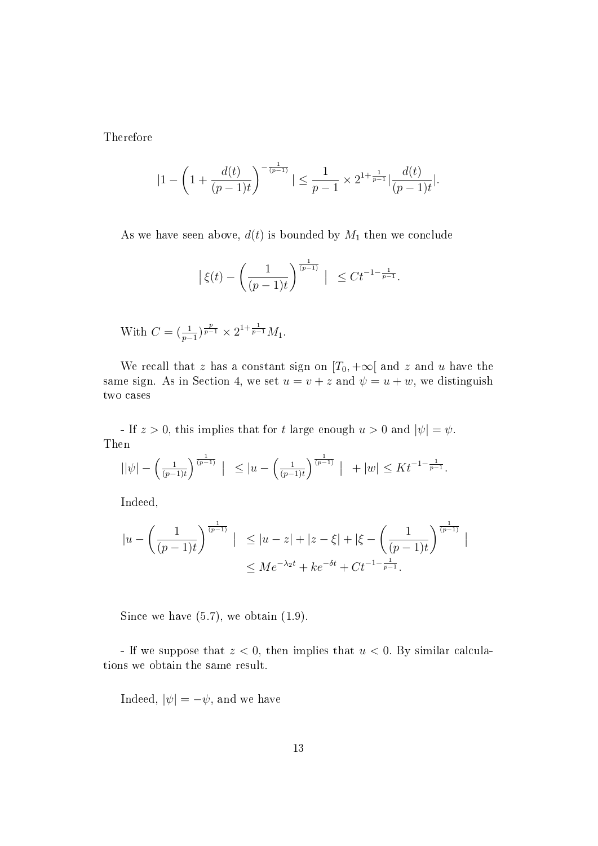Therefore

$$
|1 - \left(1 + \frac{d(t)}{(p-1)t}\right)^{-\frac{1}{(p-1)}}| \le \frac{1}{p-1} \times 2^{1 + \frac{1}{p-1}} \left|\frac{d(t)}{(p-1)t}\right|.
$$

As we have seen above,  $d(t)$  is bounded by  $M_1$  then we conclude

$$
|\xi(t) - \left(\frac{1}{(p-1)t}\right)^{\frac{1}{(p-1)}}| \leq Ct^{-1-\frac{1}{p-1}}.
$$

With  $C = \left(\frac{1}{p-1}\right)^{\frac{p}{p-1}} \times 2^{1+\frac{1}{p-1}} M_1$ .

We recall that z has a constant sign on  $[T_0, +\infty]$  and z and u have the same sign. As in Section 4, we set  $u = v + z$  and  $\psi = u + w$ , we distinguish two cases

- If  $z > 0$ , this implies that for t large enough  $u > 0$  and  $|\psi| = \psi$ . Then

$$
||\psi| - \left(\frac{1}{(p-1)t}\right)^{\frac{1}{(p-1)}} \Big| \le |u - \left(\frac{1}{(p-1)t}\right)^{\frac{1}{(p-1)}} \Big| + |w| \le K t^{-1-\frac{1}{p-1}}.
$$

Indeed,

$$
|u - \left(\frac{1}{(p-1)t}\right)^{\frac{1}{(p-1)}}| \le |u-z| + |z-\xi| + |\xi - \left(\frac{1}{(p-1)t}\right)^{\frac{1}{(p-1)}}|
$$
  

$$
\le Me^{-\lambda_2 t} + ke^{-\delta t} + Ct^{-1-\frac{1}{p-1}}.
$$

Since we have  $(5.7)$ , we obtain  $(1.9)$ .

- If we suppose that  $z < 0$ , then implies that  $u < 0$ . By similar calculations we obtain the same result.

Indeed,  $|\psi| = -\psi$ , and we have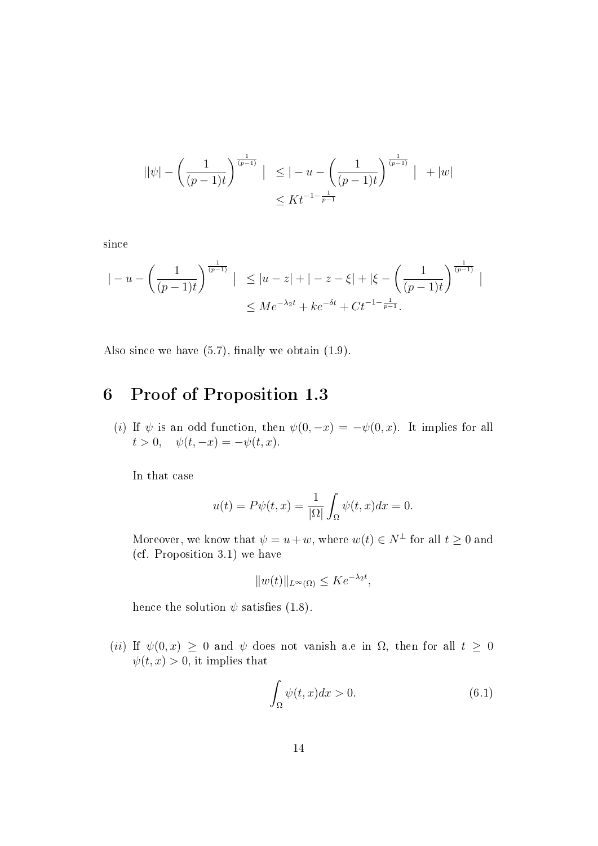$$
||\psi| - \left(\frac{1}{(p-1)t}\right)^{\frac{1}{(p-1)}} \mid \leq |-u - \left(\frac{1}{(p-1)t}\right)^{\frac{1}{(p-1)}} | + |w|
$$
  

$$
\leq Kt^{-1-\frac{1}{p-1}}
$$

since

$$
|-u - \left(\frac{1}{(p-1)t}\right)^{\frac{1}{(p-1)}}| \le |u-z| + |-z-\xi| + |\xi - \left(\frac{1}{(p-1)t}\right)^{\frac{1}{(p-1)}}|
$$
  

$$
\le Me^{-\lambda_2 t} + ke^{-\delta t} + Ct^{-1-\frac{1}{p-1}}.
$$

Also since we have  $(5.7)$ , finally we obtain  $(1.9)$ .

# 6 Proof of Proposition 1.3

(i) If  $\psi$  is an odd function, then  $\psi(0,-x) = -\psi(0,x)$ . It implies for all  $t > 0$ ,  $\psi(t, -x) = -\psi(t, x)$ .

In that case

$$
u(t) = P\psi(t, x) = \frac{1}{|\Omega|} \int_{\Omega} \psi(t, x) dx = 0.
$$

Moreover, we know that  $\psi = u + w$ , where  $w(t) \in N^{\perp}$  for all  $t \geq 0$  and (cf. Proposition 3.1) we have

$$
||w(t)||_{L^{\infty}(\Omega)} \leq Ke^{-\lambda_2 t},
$$

hence the solution  $\psi$  satisfies (1.8).

(ii) If  $\psi(0, x) \ge 0$  and  $\psi$  does not vanish a.e in  $\Omega$ , then for all  $t \ge 0$  $\psi(t, x) > 0$ , it implies that

$$
\int_{\Omega} \psi(t, x) dx > 0. \tag{6.1}
$$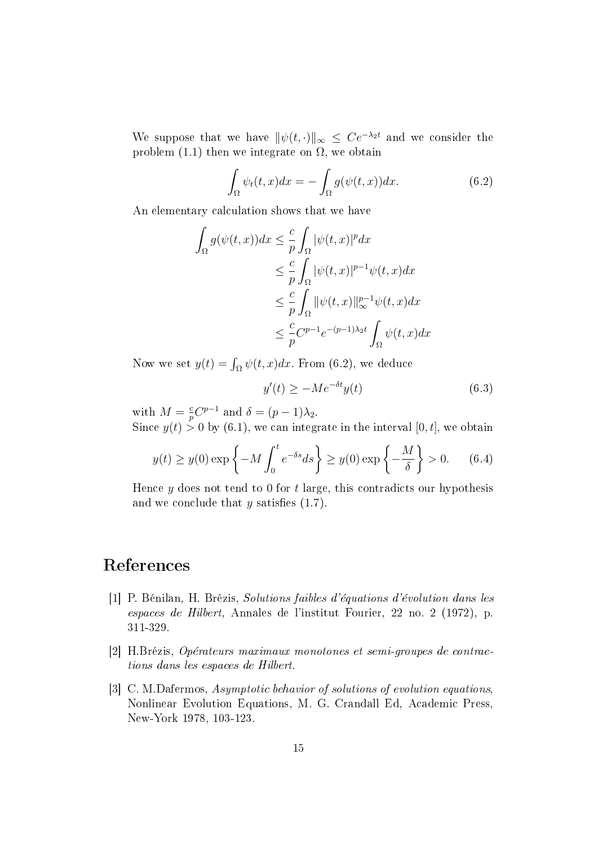We suppose that we have  $\|\psi(t, \cdot)\|_{\infty} \leq Ce^{-\lambda_2 t}$  and we consider the problem (1.1) then we integrate on  $\Omega$ , we obtain

$$
\int_{\Omega} \psi_t(t, x) dx = - \int_{\Omega} g(\psi(t, x)) dx.
$$
\n(6.2)

An elementary calculation shows that we have

$$
\int_{\Omega} g(\psi(t, x))dx \leq \frac{c}{p} \int_{\Omega} |\psi(t, x)|^p dx
$$
  
\n
$$
\leq \frac{c}{p} \int_{\Omega} |\psi(t, x)|^{p-1} \psi(t, x) dx
$$
  
\n
$$
\leq \frac{c}{p} \int_{\Omega} ||\psi(t, x)||_{\infty}^{p-1} \psi(t, x) dx
$$
  
\n
$$
\leq \frac{c}{p} C^{p-1} e^{-(p-1)\lambda_2 t} \int_{\Omega} \psi(t, x) dx
$$

Now we set  $y(t) = \int_{\Omega} \psi(t, x) dx$ . From (6.2), we deduce

$$
y'(t) \ge -Me^{-\delta t}y(t) \tag{6.3}
$$

with  $M=\frac{c}{n}$  $\frac{c}{p}C^{p-1}$  and  $\delta = (p-1)\lambda_2$ .

Since  $y(t) > 0$  by  $(6.1)$ , we can integrate in the interval  $[0, t]$ , we obtain

$$
y(t) \ge y(0) \exp\left\{-M \int_0^t e^{-\delta s} ds\right\} \ge y(0) \exp\left\{-\frac{M}{\delta}\right\} > 0. \quad (6.4)
$$

Hence  $y$  does not tend to 0 for  $t$  large, this contradicts our hypothesis and we conclude that  $y$  satisfies  $(1.7)$ .

#### References

- [1] P. Bénilan, H. Brézis, Solutions faibles d'équations d'évolution dans les espaces de Hilbert, Annales de l'institut Fourier, 22 no. 2 (1972), p. 311-329.
- [2] H.Brézis, Opérateurs maximaux monotones et semi-groupes de contractions dans les espaces de Hilbert.
- [3] C. M.Dafermos, Asymptotic behavior of solutions of evolution equations, Nonlinear Evolution Equations, M. G. Crandall Ed, Academic Press, New-York 1978, 103-123.